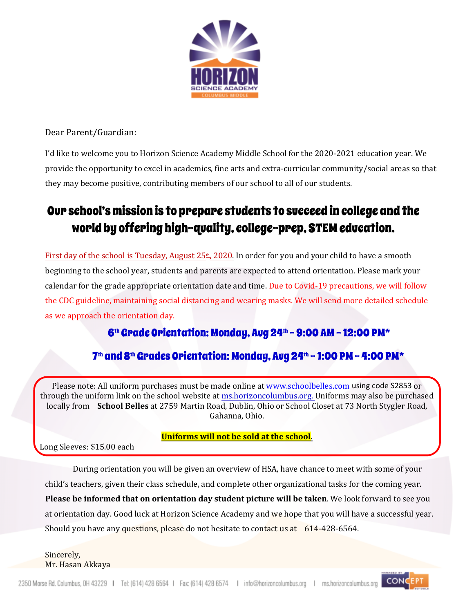

Dear Parent/Guardian:

I'd like to welcome you to Horizon Science Academy Middle School for the 2020-2021 education year. We provide the opportunity to excel in academics, fine arts and extra-curricular community/social areas so that they may become positive, contributing members of our school to all of our students.

### Our school's mission is to prepare students to succeed in college and the world by offering high-quality, college-prep, STEM education.

First day of the school is Tuesday, August  $25<sup>th</sup>$ , 2020. In order for you and your child to have a smooth beginning to the school year, students and parents are expected to attend orientation. Please mark your calendar for the grade appropriate orientation date and time. Due to Covid-19 precautions, we will follow the CDC guideline, maintaining social distancing and wearing masks. We will send more detailed schedule as we approach the orientation day.

### 6 th Grade Orientation: Monday, Aug 24th – 9:00 AM - 12:00 PM\*

### 7th and 8th Grades Orientation: Monday, Aug 24th – 1:00 PM – 4:00 PM\*

Please note: All uniform purchases must be made online at www.schoolbelles.com using code S2853 or through the uniform link on the school website at ms.horizoncolumbus.org. Uniforms may also be purchased locally from **School Belles** at 2759 Martin Road, Dublin, Ohio or School Closet at 73 North Stygler Road, Gahanna, Ohio.

#### **Uniforms will not be sold at the school.**

Long Sleeves: \$15.00 each

During orientation you will be given an overview of HSA, have chance to meet with some of your child's teachers, given their class schedule, and complete other organizational tasks for the coming year. **Please be informed that on orientation day student picture will be taken**. We look forward to see you at orientation day. Good luck at Horizon Science Academy and we hope that you will have a successful year. Should you have any questions, please do not hesitate to contact us at 614-428-6564.

Sincerely, Mr. Hasan Akkaya

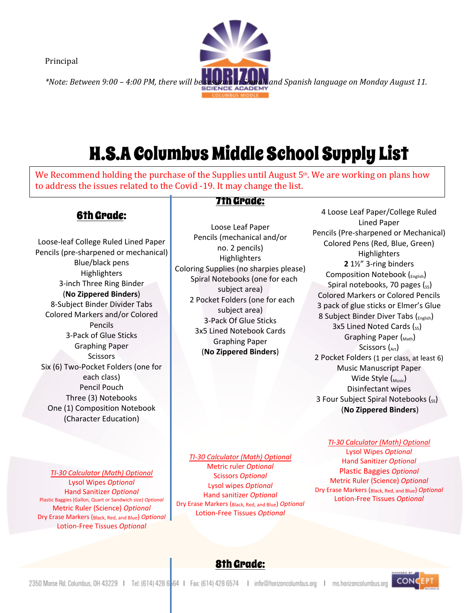Principal



# H.S.A Columbus Middle School Supply List

We Recommend holding the purchase of the Supplies until August  $5<sup>th</sup>$ . We are working on plans how to address the issues related to the Covid -19. It may change the list.

### 6th Grade:

Loose-leaf College Ruled Lined Paper Pencils (pre-sharpened or mechanical) Blue/black pens **Highlighters** 3-inch Three Ring Binder (**No Zippered Binders**) 8-Subject Binder Divider Tabs Colored Markers and/or Colored Pencils 3-Pack of Glue Sticks Graphing Paper Scissors Six (6) Two-Pocket Folders (one for each class) Pencil Pouch Three (3) Notebooks One (1) Composition Notebook (Character Education)

7th Grade:

Loose Leaf Paper Pencils (mechanical and/or no. 2 pencils) Highlighters Coloring Supplies (no sharpies please) Spiral Notebooks (one for each subject area) 2 Pocket Folders (one for each subject area) 3-Pack Of Glue Sticks 3x5 Lined Notebook Cards Graphing Paper (**No Zippered Binders**)

4 Loose Leaf Paper/College Ruled Lined Paper Pencils (Pre-sharpened or Mechanical) Colored Pens (Red, Blue, Green) Highlighters **2** 1½" 3-ring binders Composition Notebook (<sub>English</sub>) Spiral notebooks, 70 pages  $(s<sub>s</sub>)$ Colored Markers or Colored Pencils 3 pack of glue sticks or Elmer's Glue 8 Subject Binder Diver Tabs (<sub>English</sub>) 3x5 Lined Noted Cards  $(s<sub>s</sub>)$ Graphing Paper  $\binom{M}{M}$ Scissors  $\binom{at}{r}$ 2 Pocket Folders (1 per class, at least 6) Music Manuscript Paper Wide Style  $\left(\begin{smallmatrix} 0 & 0 \\ \text{Music} \end{smallmatrix}\right)$ Disinfectant wipes 3 Four Subject Spiral Notebooks (ss) (**No Zippered Binders**)

*TI-30 Calculator (Math) Optional* Lysol Wipes *Optional* Hand Sanitizer *Optional* Plastic Baggies (Gallon, Quart or Sandwich size) *Optional* Metric Ruler (Science) *Optional* Dry Erase Markers (Black, Red, and Blue) *Optional* Lotion-Free Tissues *Optional*

*TI-30 Calculator (Math) Optional* Metric ruler *Optional* Scissors *Optional* Lysol wipes *Optional* Hand sanitizer *Optional* Dry Erase Markers (Black, Red, and Blue) *Optional* Lotion-Free Tissues *Optional*

*TI-30 Calculator (Math) Optional* Lysol Wipes *Optional* Hand Sanitizer *Optional* Plastic Baggies *Optional* Metric Ruler (Science) *Optional* Dry Erase Markers (Black, Red, and Blue) *Optional* Lotion-Free Tissues *Optional*



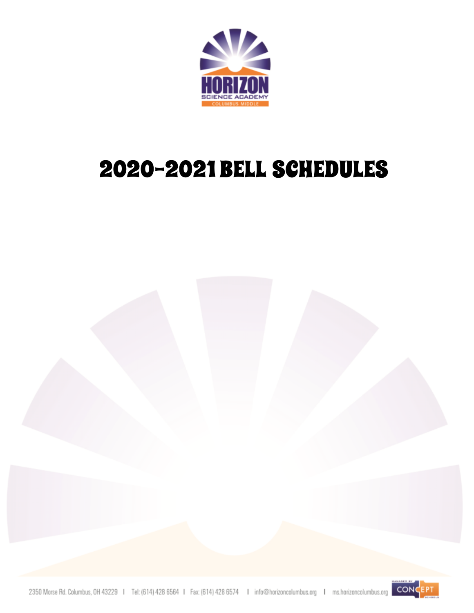

# 2020-2021 BELL SCHEDULES

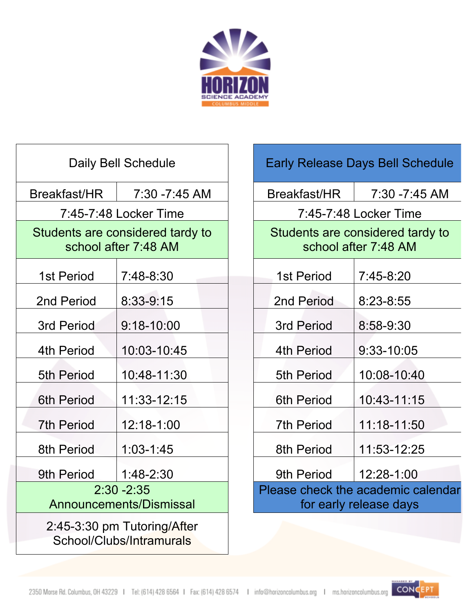

| Daily Bell Schedule                                      |                |  |  |  |  |  |  |  |  |  |
|----------------------------------------------------------|----------------|--|--|--|--|--|--|--|--|--|
| Breakfast/HR                                             | 7:30 -7:45 AM  |  |  |  |  |  |  |  |  |  |
| 7:45-7:48 Locker Time                                    |                |  |  |  |  |  |  |  |  |  |
| Students are considered tardy to<br>school after 7:48 AM |                |  |  |  |  |  |  |  |  |  |
| 1st Period                                               | 7:48-8:30      |  |  |  |  |  |  |  |  |  |
| 2nd Period                                               | 8:33-9:15      |  |  |  |  |  |  |  |  |  |
| 3rd Period                                               | $9:18 - 10:00$ |  |  |  |  |  |  |  |  |  |
| 4th Period                                               | 10:03-10:45    |  |  |  |  |  |  |  |  |  |
| <b>5th Period</b>                                        | 10:48-11:30    |  |  |  |  |  |  |  |  |  |
| <b>6th Period</b>                                        | 11:33-12:15    |  |  |  |  |  |  |  |  |  |
| <b>7th Period</b>                                        | 12:18-1:00     |  |  |  |  |  |  |  |  |  |
| 8th Period                                               | $1:03 - 1:45$  |  |  |  |  |  |  |  |  |  |
| 9th Period                                               | $1:48-2:30$    |  |  |  |  |  |  |  |  |  |
| $2:30 - 2:35$<br>Announcements/Dismissal                 |                |  |  |  |  |  |  |  |  |  |
| 2:45-3:30 pm Tutoring/After<br>School/Clubs/Intramurals  |                |  |  |  |  |  |  |  |  |  |

| <b>Early Release Days Bell Schedule</b>                      |               |  |  |  |  |  |  |  |  |  |
|--------------------------------------------------------------|---------------|--|--|--|--|--|--|--|--|--|
| Breakfast/HR                                                 | 7:30 -7:45 AM |  |  |  |  |  |  |  |  |  |
| 7:45-7:48 Locker Time                                        |               |  |  |  |  |  |  |  |  |  |
| Students are considered tardy to<br>school after 7:48 AM     |               |  |  |  |  |  |  |  |  |  |
| 1st Period                                                   | 7:45-8:20     |  |  |  |  |  |  |  |  |  |
| 2nd Period                                                   | 8:23-8:55     |  |  |  |  |  |  |  |  |  |
| 3rd Period                                                   | $8:58-9:30$   |  |  |  |  |  |  |  |  |  |
| 4th Period                                                   | 9:33-10:05    |  |  |  |  |  |  |  |  |  |
| <b>5th Period</b>                                            | 10:08-10:40   |  |  |  |  |  |  |  |  |  |
| 6th Period                                                   | 10:43-11:15   |  |  |  |  |  |  |  |  |  |
| <b>7th Period</b>                                            | 11:18-11:50   |  |  |  |  |  |  |  |  |  |
| 8th Period                                                   | 11:53-12:25   |  |  |  |  |  |  |  |  |  |
| 9th Period                                                   | 12:28-1:00    |  |  |  |  |  |  |  |  |  |
| Please check the academic calendar<br>for early release days |               |  |  |  |  |  |  |  |  |  |